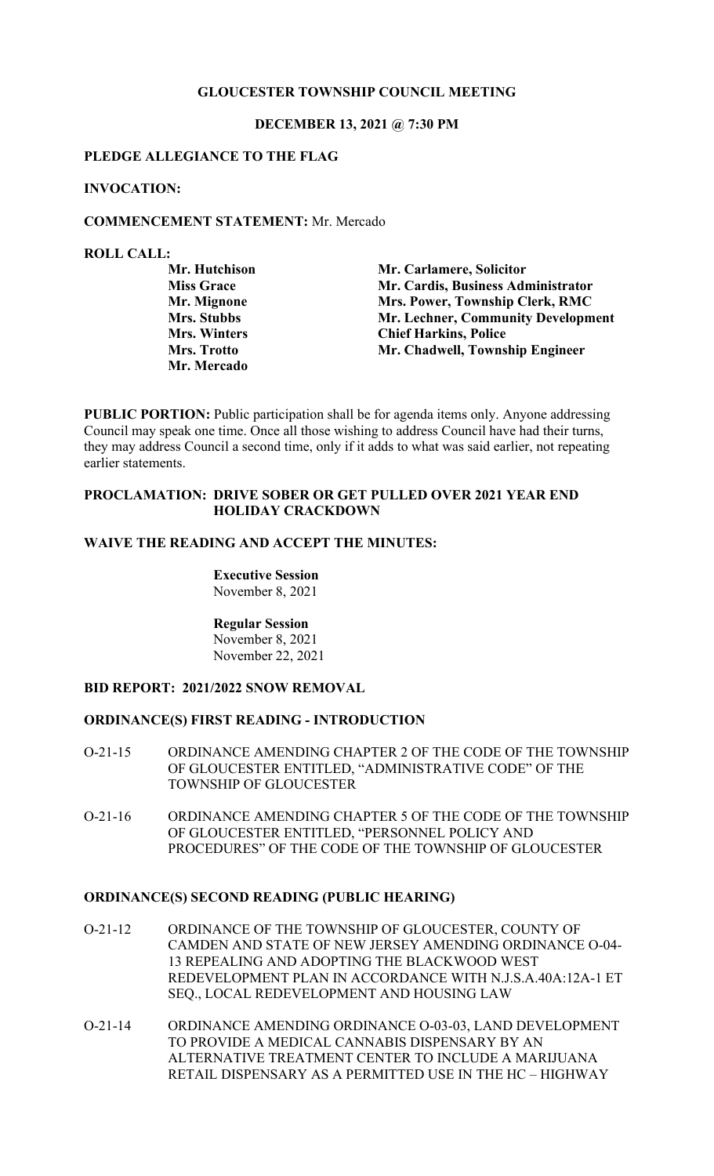# **GLOUCESTER TOWNSHIP COUNCIL MEETING**

#### **DECEMBER 13, 2021 @ 7:30 PM**

#### **PLEDGE ALLEGIANCE TO THE FLAG**

#### **INVOCATION:**

#### **COMMENCEMENT STATEMENT:** Mr. Mercado

#### **ROLL CALL:**

| Mr. Hutchison       | Mr. Carlamere, Solicitor           |
|---------------------|------------------------------------|
| <b>Miss Grace</b>   | Mr. Cardis, Business Administrator |
| Mr. Mignone         | Mrs. Power, Township Clerk, RMC    |
| <b>Mrs. Stubbs</b>  | Mr. Lechner, Community Development |
| <b>Mrs. Winters</b> | <b>Chief Harkins, Police</b>       |
| Mrs. Trotto         | Mr. Chadwell, Township Engineer    |
| <b>Mr. Mercado</b>  |                                    |

**PUBLIC PORTION:** Public participation shall be for agenda items only. Anyone addressing Council may speak one time. Once all those wishing to address Council have had their turns, they may address Council a second time, only if it adds to what was said earlier, not repeating earlier statements.

### **PROCLAMATION: DRIVE SOBER OR GET PULLED OVER 2021 YEAR END HOLIDAY CRACKDOWN**

# **WAIVE THE READING AND ACCEPT THE MINUTES:**

**Executive Session** November 8, 2021

**Regular Session** November 8, 2021 November 22, 2021

# **BID REPORT: 2021/2022 SNOW REMOVAL**

#### **ORDINANCE(S) FIRST READING - INTRODUCTION**

- O-21-15 ORDINANCE AMENDING CHAPTER 2 OF THE CODE OF THE TOWNSHIP OF GLOUCESTER ENTITLED, "ADMINISTRATIVE CODE" OF THE TOWNSHIP OF GLOUCESTER
- O-21-16 ORDINANCE AMENDING CHAPTER 5 OF THE CODE OF THE TOWNSHIP OF GLOUCESTER ENTITLED, "PERSONNEL POLICY AND PROCEDURES" OF THE CODE OF THE TOWNSHIP OF GLOUCESTER

#### **ORDINANCE(S) SECOND READING (PUBLIC HEARING)**

- O-21-12 ORDINANCE OF THE TOWNSHIP OF GLOUCESTER, COUNTY OF CAMDEN AND STATE OF NEW JERSEY AMENDING ORDINANCE O-04- 13 REPEALING AND ADOPTING THE BLACKWOOD WEST REDEVELOPMENT PLAN IN ACCORDANCE WITH N.J.S.A.40A:12A-1 ET SEQ., LOCAL REDEVELOPMENT AND HOUSING LAW
- O-21-14 ORDINANCE AMENDING ORDINANCE O-03-03, LAND DEVELOPMENT TO PROVIDE A MEDICAL CANNABIS DISPENSARY BY AN ALTERNATIVE TREATMENT CENTER TO INCLUDE A MARIJUANA RETAIL DISPENSARY AS A PERMITTED USE IN THE HC – HIGHWAY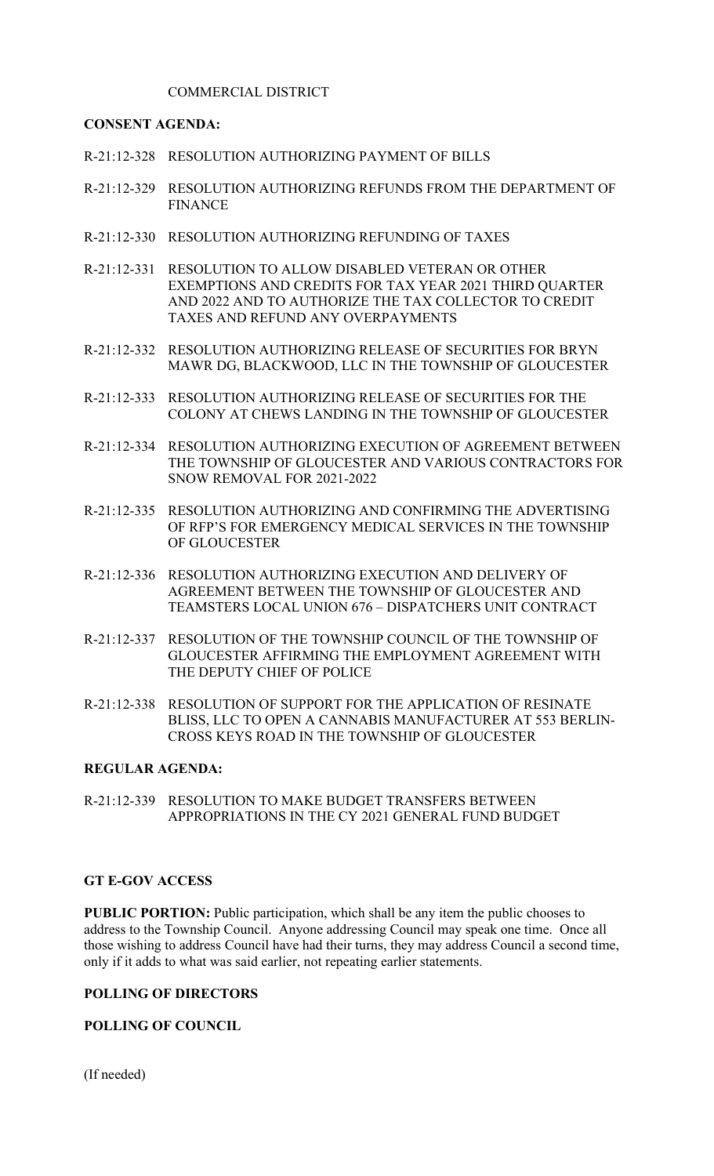# COMMERCIAL DISTRICT

# **CONSENT AGENDA:**

- R-21:12-328 RESOLUTION AUTHORIZING PAYMENT OF BILLS
- R-21:12-329 RESOLUTION AUTHORIZING REFUNDS FROM THE DEPARTMENT OF FINANCE
- R-21:12-330 RESOLUTION AUTHORIZING REFUNDING OF TAXES
- R-21:12-331 RESOLUTION TO ALLOW DISABLED VETERAN OR OTHER EXEMPTIONS AND CREDITS FOR TAX YEAR 2021 THIRD QUARTER AND 2022 AND TO AUTHORIZE THE TAX COLLECTOR TO CREDIT TAXES AND REFUND ANY OVERPAYMENTS
- R-21:12-332 RESOLUTION AUTHORIZING RELEASE OF SECURITIES FOR BRYN MAWR DG, BLACKWOOD, LLC IN THE TOWNSHIP OF GLOUCESTER
- R-21:12-333 RESOLUTION AUTHORIZING RELEASE OF SECURITIES FOR THE COLONY AT CHEWS LANDING IN THE TOWNSHIP OF GLOUCESTER
- R-21:12-334 RESOLUTION AUTHORIZING EXECUTION OF AGREEMENT BETWEEN THE TOWNSHIP OF GLOUCESTER AND VARIOUS CONTRACTORS FOR SNOW REMOVAL FOR 2021-2022
- R-21:12-335 RESOLUTION AUTHORIZING AND CONFIRMING THE ADVERTISING OF RFP'S FOR EMERGENCY MEDICAL SERVICES IN THE TOWNSHIP OF GLOUCESTER
- R-21:12-336 RESOLUTION AUTHORIZING EXECUTION AND DELIVERY OF AGREEMENT BETWEEN THE TOWNSHIP OF GLOUCESTER AND TEAMSTERS LOCAL UNION 676 – DISPATCHERS UNIT CONTRACT
- R-21:12-337 RESOLUTION OF THE TOWNSHIP COUNCIL OF THE TOWNSHIP OF GLOUCESTER AFFIRMING THE EMPLOYMENT AGREEMENT WITH THE DEPUTY CHIEF OF POLICE
- R-21:12-338 RESOLUTION OF SUPPORT FOR THE APPLICATION OF RESINATE BLISS, LLC TO OPEN A CANNABIS MANUFACTURER AT 553 BERLIN-CROSS KEYS ROAD IN THE TOWNSHIP OF GLOUCESTER

### **REGULAR AGENDA:**

R-21:12-339 RESOLUTION TO MAKE BUDGET TRANSFERS BETWEEN APPROPRIATIONS IN THE CY 2021 GENERAL FUND BUDGET

#### **GT E-GOV ACCESS**

**PUBLIC PORTION:** Public participation, which shall be any item the public chooses to address to the Township Council. Anyone addressing Council may speak one time. Once all those wishing to address Council have had their turns, they may address Council a second time, only if it adds to what was said earlier, not repeating earlier statements.

### **POLLING OF DIRECTORS**

## **POLLING OF COUNCIL**

(If needed)